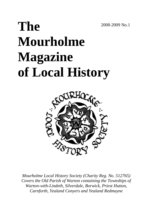2008-2009 No.1

# **The Mourholme Magazine of Local History**



*Mourholme Local History Society (Charity Reg. No. 512765) Covers the Old Parish of Warton containing the Townships of Warton-with-Lindeth, Silverdale, Borwick, Priest Hutton, Carnforth, Yealand Conyers and Yealand Redmayne*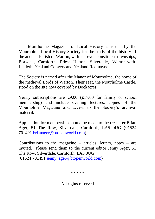The Mourholme Magazine of Local History is issued by the Mourholme Local History Society for the study of the history of the ancient Parish of Warton, with its seven constituent townships; Borwick, Carnforth, Priest Hutton, Silverdale, Warton-with-Lindeth, Yealand Conyers and Yealand Redmayne.

The Society is named after the Manor of Mourholme, the home of the medieval Lords of Warton, Their seat, the Mourholme Castle, stood on the site now covered by Dockacres.

Yearly subscriptions are £9.00 (£17.00 for family or school membership) and include evening lectures, copies of the Mourholme Magazine and access to the Society's archival material.

Application for membership should be made to the treasurer Brian Ager, 51 The Row, Silverdale, Carnforth, LA5 0UG (01524 701491 [brianager@btopenworld.com\)](mailto:brianager@btopenworld.com).

Contributions to the magazine – articles, letters, notes – are invited. Please send them to the current editor Jenny Ager, 51 The Row, Silverdale, Carnforth, LA5 0UG (01524 701491 [jenny\\_ager@btopenworld.com\)](mailto:jenny_ager@btopenworld.com)

\* \* \* \* \*

All rights reserved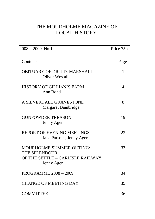# THE MOURHOLME MAGAZINE OF LOCAL HISTORY

| $2008 - 2009$ , No.1                                                                                      | Price 75p      |  |
|-----------------------------------------------------------------------------------------------------------|----------------|--|
| Contents:                                                                                                 | Page           |  |
| OBITUARY OF DR. J.D. MARSHALL<br>Oliver Westall                                                           | 1              |  |
| HISTORY OF GILLIAN'S FARM<br>Ann Bond                                                                     | $\overline{A}$ |  |
| A SILVERDALE GRAVESTONE<br>Margaret Bainbridge                                                            | 8              |  |
| <b>GUNPOWDER TREASON</b><br>Jenny Ager                                                                    | 19             |  |
| <b>REPORT OF EVENING MEETINGS</b><br>Jane Parsons, Jenny Ager                                             | 23             |  |
| <b>MOURHOLME SUMMER OUTING:</b><br><b>THE SPLENDOUR</b><br>OF THE SETTLE - CARLISLE RAILWAY<br>Jenny Ager | 33             |  |
| <b>PROGRAMME 2008 - 2009</b>                                                                              | 34             |  |
| <b>CHANGE OF MEETING DAY</b>                                                                              | 35             |  |
| <b>COMMITTEE</b>                                                                                          | 36             |  |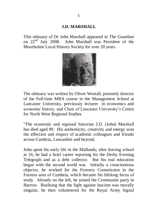#### **J.D. MARSHALL**

This obituary of Dr John Marshall appeared in The Guardian on 22nd July 2008. John Marshall was President of the Mourholme Local History Society for over 20 years.



The obituary was written by Oliver Westall, presently director of the Full-time MBA course in the Management School at Lancaster University, previously lecturer in economics and economic history, and Chair of Lancaster University"s Centre for North West Regional Studies.

"The economic and regional historian J.D. (John) Marshall has died aged 89. His authenticity, creativity and energy won the affection and respect of academic colleagues and friends across Cumbria, Lancashire and beyond.

John spent his early life in the Midlands; after leaving school at 16, he had a brief career reporting for the Derby Evening Telegraph and as a debt collector. But his real education began with the second world war. Initially a conscientious objector, he worked for the Forestry Commission in the Furness area of Cumbria, which became his lifelong focus of study. Already on the left, he joined the Communist party in Barrow. Realising that the fight against fascism was morally singular, he then volunteered for the Royal Army Signal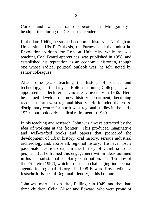Corps, and was a radio operator in Montgomery"s headquarters during the German surrender.

In the late 1940s, he studied economic history at Nottingham University. His PhD thesis, on Furness and the Industrial Revolution, written for London University while he was teaching Coal Board apprentices, was published in 1958, and established his reputation as an economic historian, though one whose radical political outlook was, he felt, noted by senior colleagues.

After some years teaching the history of science and technology, particularly at Bolton Training College, he was appointed as a lecturer at Lancaster University in 1966. Here he helped develop the new history department, becoming reader in north-west regional history. He founded the crossdisciplinary centre for north-west regional studies in the early 1970s, but took early medical retirement in 1980.

In his teaching and research, John was always attracted by the idea of working at the frontier. This produced imaginative and well-crafted books and papers that pioneered the development of urban history, oral history, serious industrial archaeology and, above all, regional history. He never lost a passionate desire to explain the history of Cumbria to its people. But he framed this engagement within ideas outlined in his last substantial scholarly contribution, The Tyranny of the Discrete (1997), which proposed a challenging intellectual agenda for regional history. In 1998 Edward Royle edited a festschrift, Issues of Regional Identity, in his honour.

John was married to Audrey Pullinger in 1949, and they had three children: Celia, Alison and Edward, who were proud of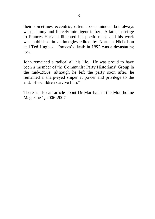their sometimes eccentric, often absent-minded but always warm, funny and fiercely intelligent father. A later marriage to Frances Harland liberated his poetic muse and his work was published in anthologies edited by Norman Nicholson and Ted Hughes. Frances's death in 1992 was a devastating  $l$ oss.

John remained a radical all his life. He was proud to have been a member of the Communist Party Historians' Group in the mid-1950s; although he left the party soon after, he remained a sharp-eyed sniper at power and privilege to the end. His children survive him."

There is also an article about Dr Marshall in the Mourholme Magazine 1, 2006-2007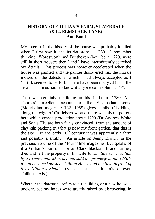### **HISTORY OF GILLIAN'S FARM, SILVERDALE (8-12, ELMSLACK LANE) Ann Bond**

My interest in the history of the house was probably kindled when I first saw it and its datestone – 1780. I remember thinking "Wordsworth and Beethoven (both born 1770) were still in short trousers then!" and I have intermittently searched out details. This process was however accelerated when the house was painted and the painter discovered that the initials incised on the datestone, which I had always accepted as I  $(=J)$  B, seemed to be F.B. There have been many J.B'.s in the area but I am curious to know if anyone can explain an "F".

There was certainly a building on this site before 1780. Mr. Thomas" excellent account of the Elizabethan scene (Mourholme magazine III/3, 1985) gives details of holdings along the edge of Castlebarrow, and there was also a pottery here which ceased production about 1700 (Dr Andrew White and Sonia Ely are both fairly convinced, from the amount of clay kiln packing in what is now my front garden, that this is the site). In the early  $18<sup>th</sup>$  century it was apparently a farm and possibly a smithy. An article on Jenny Brown, in the previous volume of the Mourholme magazine II/2, speaks of it a Gillian"s Farm. Thomas Clark blacksmith and farmer, died and left the property of his wife Julia. "*She survived him by 31 years, and when her son sold the property in the 1740"s it had become known as Gillian House and the field in front of it as Gillian's Field'*. (Variants, such as Julian's, or even Tollions, exist).

Whether the datestone refers to a rebuilding or a new house is unclear, but my hopes were greatly raised by discovering, in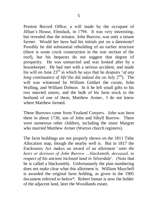Preston Record Office, a will made by the occupant of Jillian"s House, Elmslack, in 1794. It was very interesting, but revealed that the testator, John Burrow, was only a tenant farmer. Would her have had his initials put on a datestone? Possibly he did substantial rebuilding of an earlier structure (there is some cruck construction in the rear section of the roof), but his bequests do not suggest that degree of prosperity. He was unmarried and was looked after by a housekeeper. He had met with a serious accident, and made his will on June 23<sup>rd</sup> in which he says that he despairs '*of any long continuance of life*'(he did indeed die on July  $2<sup>nd</sup>$ ). The will was witnessed by William Geldart the curate, John Walling, and William Dobson. In it he left small gifts to his two married sisters, and the bulk of his farm stock to the husband of one of them, Matthew Armer.. I do not know where Matthew farmed.

These Burrows came from Yealand Conyers. John was born there in about 1730, son of John and Sibyll Burrow. There were numerous other children, including the sister Margret who married Matthew Armer (Warton church registers).

The farm buildings are not properly shown on the 1811 Tithe Allocation map, though the nearby well is. But in 1817 the Enclosures Act makes an award of an allotment "*unto the heirs or devisees of John Burrow …blacksmith, deceased, in respect of his ancient inclosed land in Silverdale*". (Note that he is called a blacksmith). Unfortunately the plan numbering does not make clear what this allotment is. William Maychell is awarded the original farm holding, as given in the 1905 document referred to below\*. Robert Inman is now the holder of the adjacent land, later the Woodlands estate.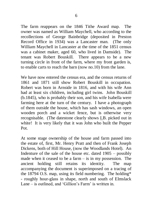The farm reappears on the 1846 Tithe Award map. The owner was named as William Maychell, who according to the recollections of George Bainbridge (deposited in Preston Record Office in 1934) was a Lancaster man. (The only William Maychell in Lancaster at the time of the 1851 census was a cabinet maker, aged 60, who lived in Damside). The tenant was Robert Bouskill. There appears to be a new turning circle in front of the farm, where my front garden is, to enable carts to reach the barn (now no.10) from the lane.

We have now entered the census era, and the census returns of 1861 and 1871 still show Robert Bouskill in occupation. Robert was born in Arnside in 1816, and with his wife Ann had at least six children, including girl twins. John Bouskill (b.1845), who is probably their son, and his wife Isabella were farming here at the turn of the century. I have a photograph of them outside the house, which has sash windows, an open wooden porch and a wicket fence, but is otherwise very recognisable. (The datestone clearly shows I.B. picked out in white! It is very likely that it was John who built the Pepper Pot.

At some stage ownership of the house and farm passed into the estate of, first, Mr. Henry Pratt and then of Frank Joseph Dickens, both of Hill House, (now the Woodlands Hotel). An Indenture of the sale of the house etc. dated 1905 – possibly made when it ceased to be a farm – is in my possession. The ancient holding still retains its identity. The map accompanying the document is superimposed on a tracing of the 18794 O.S. map, using its field numbering. The holding\* - roughly hour-glass in shape, north and south of Elmslack Lane – is outlined, and 'Gillion's Farm' is written in.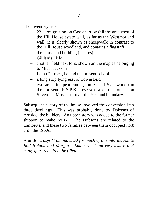The inventory lists:

- 22 acres grazing on Castlebarrow (all the area west of the Hill House estate wall, as far as the Westmorland wall; it is clearly shown as sheepwalk in contrast to the Hill House woodland, and contains a flagstaff)
- the house and building  $(2 \text{ acres})$
- Gillian"s Field
- another field next to it, shown on the map as belonging to Mr. J. Jackson
- Lamb Parrock, behind the present school
- a long strip lying east of Townsfield
- two areas for peat-cutting, on east of Slackwood (on the present R.S.P.B. reserve) and the other on Silverdale Moss, just over the Yealand boundary.

Subsequent history of the house involved the conversion into three dwellings. This was probably done by Dobsons of Arnside, the builders. An upper story was added to the former shippon to make no.12. The Dobsons are related to the Lamberts, and these two families between them occupied no.8 until the 1960s.

Ann Bond says "*I am indebted for much of this information to Rod Ireland and Margaret Lambert. I am very aware that many gaps remain to be filled.*"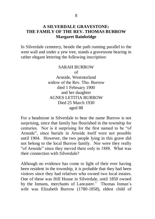## **A SILVERDALE GRAVESTONE: THE FAMILY OF THE REV. THOMAS BURROW Margaret Bainbridge**

In Silverdale cemetery, beside the path running parallel to the west wall and under a yew tree, stands a gravestone bearing in rather elegant lettering the following inscription:

> SARAH BURROW of Arnside, Westmorland widow of the Rev. Tho. Burrow died 1 February 1900 and her daughter AGNES LETITIA BURROW Died 25 March 1930 aged 88

For a headstone in Silverdale to bear the name Burrow is not surprising, since that family has flourished in the township for centuries. Nor is it surprising for the first named to be "of Arnside", since burials in Arnside itself were not possible until 1904. However, the two people lying in this grave did not belong to the local Burrow family. Nor were they really "of Arnside" since they moved there only in 1888. What was their connection with Silverdale?

Although no evidence has come to light of their ever having been resident in the township, it is probable that they had been visitors since they had relatives who owned two local estates. One of these was Hill House in Silverdale, until 1850 owned by the Inmans, merchants of Lancaster.<sup>1</sup> Thomas Inman's wife was Elizabeth Burrow (1780-1858), eldest child of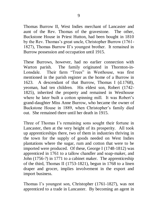Thomas Burrow II, West Indies merchant of Lancaster and aunt of the Rev. Thomas of the gravestone. The other, Buckstone House in Priest Hutton, had been bought in 1810 by the Rev. Thomas"s great uncle, Christopher Burrow (1761- 1827), Thomas Burrow II"s youngest brother. It remained in Burrow possession and occupation until 1915.

These Burrows, however, had no earlier connection with Warton parish. The family originated in Thornton-in-Lonsdale. Their farm "Trees" in Westhouse, was first mentioned in the parish register as the home of a Burrow in 1623. A descendant of that Burrow, Thomas I (d.1768), yeoman, had ten children. His eldest son, Robert (1742- 1825), inherited the property and remained in Westhouse where he later built a cotton spinning mill. It was Robert's grand-daughter Miss Anne Burrow, who became the owner of Buckstone House in 1889, when Christopher's family died out. She remained there until her death in 1915.

Three of Thomas I's remaining sons sought their fortune in Lancaster, then at the very height of its prosperity. All took up apprenticeships there, two of them in industries thriving in the town for the supply of goods needed on West Indies plantations where the sugar, rum and cotton that were to be imported were produced. Of these, George I (1748-1812) was apprenticed in 1761 to a tallow chandler and soap-maker, and John (1756-?) in 1771 to a cabinet maker. The apprenticeship of the third, Thomas II (1753-1821), begun in 1768 to a linen draper and grocer, implies involvement in the export and import business.

Thomas I's youngest son, Christopher (1761-1827), was not apprenticed to a trade in Lancaster. By becoming an agent in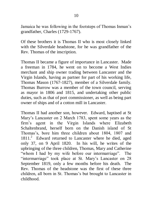Jamaica he was following in the footsteps of Thomas Inman"s grandfather, Charles (1729-1767).

Of these brothers it is Thomas II who is most closely linked with the Silverdale headstone, for he was grandfather of the Rev. Thomas of the inscription.

Thomas II became a figure of importance in Lancaster. Made a freeman in 1784, he went on to become a West Indies merchant and ship owner trading between Lancaster and the Virgin Islands, having as partner for part of his working life, Thomas Mason (1767-1827), member of a Silverdale family. Thomas Burrow was a member of the town council, serving as mayor in 1806 and 1815, and undertaking other public duties, such as that of port commissioner, as well as being part owner of ships and of a cotton mill in Lancaster.

Thomas II had another son, however. Edward, baptised at St Mary"s Lancaster on 2 March 1783, spent some years as the firm"s agent in the Virgin Islands where Elizabeth Schaltenbrand, herself born on the Danish island of St Thomas"s, bore him three children about 1804, 1807 and 1811.<sup>2</sup> Edward returned to Lancaster where he died, aged only 37, on 9 April 1820. In his will, he writes of the upbringing of the three children, Thomas, Mary and Catherine "whom I had by my wife before our intermarriage". The "intermarriage" took place at St. Mary"s Lancaster on 28 September 1819, only a few months before his death. The Rev. Thomas of the headstone was the first of these three children, all born in St. Thomas"s but brought to Lancaster in childhood.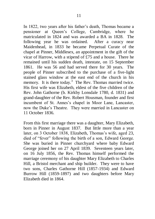In 1822, two years after his father"s death, Thomas became a pensioner at Queen"s College, Cambridge, where he matriculated in 1824 and was awarded a BA in 1828. The following year he was ordained. After a curacy near Maidenhead, in 1833 he became Perpetual Curate of the chapel at Pinner, Middlesex, an appointment in the gift of the vicar of Harrow, with a stipend of £75 and a house. There he remained until his sudden death, intestate, on 15 September 1861. He was 56 and had served there for 30 years. The people of Pinner subscribed to the purchase of a five-light stained glass window at the east end of the church in his memory. It is there today.<sup>3</sup> The Rev. Thomas married twice. His first wife was Elizabeth, eldest of the five children of the Rev. John Gathorne (b. Kirkby Lonsdale 1780, d. 1831) and grand-daughter of the Rev. Robert Housman, founder and first incumbent of St. Annes's chapel in Moor Lane, Lancaster, now the Duke"s Theatre. They were married in Lancaster on 11 October 1836.

From this first marriage there was a daughter, Mary Elizabeth, born in Pinner in August 1837. But little more than a year later, on 3 October 1838, Elizabeth, Thomas's wife, aged 23, died of "fever" following the birth of a son, Edward George. She was buried in Pinner churchyard where baby Edward George joined her on 27 April 1839. Seventeen years later, on 16 July 1856, the Rev. Thomas himself performed the marriage ceremony of his daughter Mary Elizabeth to Charles Hill, a Bristol merchant and ship builder. They were to have two sons, Charles Gathorne Hill (1857-1934) and Edward Burrow Hill (1859-1897) and two daughters before Mary Elizabeth died in 1864.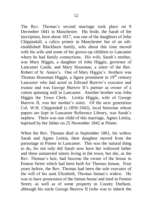The Rev. Thomas's second marriage took place on 9 December 1841 in Manchester. His bride, the Sarah of the inscription, born about 1817, was one of the daughters of John Chippindall, a calico printer in Manchester but of an oldestablished Blackburn family, who about this time moved with his wife and some of his grown-up children to Lancaster where he had family connections. His wife, Sarah's mother, was Mary Higgin, a daughter of John Higgin, governor of Lancaster Castle, and Mary Housman, a sister of the Rev. Robert of St. Annes's. One of Mary Higgin's brothers was Thomas Housman Higgin, a figure prominent in  $19<sup>th</sup>$  century Lancaster who had acted as Edward Burrow"s executor and trustee and was George Burrow II"s partner as owner of a cotton spinning mill in Lancaster. Another brother was John Higgin the Town Clerk. Letitia Higgin, wife of George Burrow II, was her mother's sister. Of the next generation Col. W.H. Chippindall (c.1850-1942), local historian whose papers are kept in Lancaster Reference Library, was Sarah"s nephew. There was one child of this marriage, Agnes Letitia, baptised by her father on 25 November 1842 at Pinner.

When the Rev. Thomas died in September 1861, his widow Sarah and Agnes Letitia, their daughter moved from the parsonage in Pinner to Lancaster. This was the natural thing to do, for not only did Sarah now have her widowed father and three unmarried sisters living in the town, but she, as the Rev. Thomas"s heir, had become the owner of the house in Fenton Street which had been built for Thomas Inman. Four years before, the Rev. Thomas had been the sole executor of the will of his aunt Elizabeth, Thomas Inman"s widow. He was to have possession of the Inman house and land in Fenton Street, as well as of some property in County Durham, although his uncle George Burrow II (who was to inherit the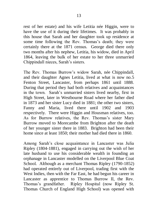rest of her estate) and his wife Letitia née Higgin, were to have the use of it during their lifetimes. It was probably in this house that Sarah and her daughter took up residence at some time following the Rev. Thomas's death; they were certainly there at the 1871 census. George died there only two months after his nephew, Letitia, his widow, died in April 1864, leaving the bulk of her estate to her three unmarried Chippindall nieces, Sarah"s sisters.

The Rev. Thomas Burrow"s widow Sarah, née Chippindall, and their daughter Agnes Letitia, lived at what is now no.5 Fenton Street, Lancaster, from perhaps 1861 until 1888. During that period they had both relatives and acquaintances in the town. Sarah"s unmarried sisters lived nearby, first in High Street, later in Westbourne Road where her father died in 1873 and her sister Lucy died in 1881; the other two sisters, Fanny and Maria, lived there until 1902 and 1903 respectively. There were Higgin and Housman relatives, too. As for Burrow relatives, the Rev. Thomas's sister Mary Burrow moved to Morecambe from Brighton after the death of her younger sister there in 1883. Brighton had been their home since at least 1850; their mother had died there in 1860.

Among Sarah"s close acquaintance in Lancaster was Julia Ripley (1804-1881), engaged in carrying out the wish of her late husband to use his considerable wealth in founding an orphanage in Lancaster modelled on the Liverpool Blue Coat School. Although as a merchant Thomas Ripley (1790-1852) had operated entirely out of Liverpool, trading first with the West Indies, then with the Far East, he had begun his career in Lancaster as apprentice to Thomas Burrow II, the Rev. Thomas"s grandfather. Ripley Hospital (now Ripley St. Thomas Church of England High School) was opened with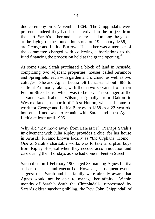due ceremony on 3 November 1864. The Chippindalls were present. Indeed they had been involved in the project from the start: Sarah"s father and sister are listed among the guests at the laying of the foundation stone on 19 January 1856, as are George and Letitia Burrow. Her father was a member of the committee charged with collecting subscriptions to the fund financing the procession held at the grand opening.<sup>4</sup>

At some time, Sarah purchased a block of land in Arnside, comprising two adjacent properties, houses called Arnmoor and Springfield, each with garden and orchard, as well as two cottages. She and Agnes Letitia left Lancaster about 1888 to settle at Arnmoor, taking with them two servants from their Fenton Street house which was to be let. The younger of the servants was Isabella Wilson, originally from Dalton in Westmorland, just north of Priest Hutton, who had come to work for George and Letitia Burrow in 1858 as a 22-year-old housemaid and was to remain with Sarah and then Agnes Letitia at least until 1905.

Why did they move away from Lancaster? Perhaps Sarah"s involvement with Julia Ripley provides a clue, for her house in Arnside became known locally as "the Orphans" Home". One of Sarah"s charitable works was to take in orphan boys from Ripley Hospital when they needed accommodation and care during their holidays as she had done in Fenton Street.

Sarah died on 1 February 1900 aged 83, naming Agnes Letitia as her sole heir and executrix. However, subsequent events suggest that Sarah and her family were already aware that Agnes would not be able to manage her affairs. Within months of Sarah"s death the Chippindalls, represented by Sarah"s oldest surviving sibling, the Rev. John Chippindall of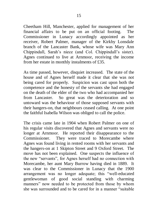Cheetham Hill, Manchester, applied for management of her financial affairs to be put on an official footing. The Commissioner in Lunacy accordingly appointed as her receiver, Robert Palmer, manager of the Kirkby Lonsdale branch of the Lancaster Bank, whose wife was Mary Ann Chippindall, Sarah"s niece (and Col. Chippindall"s sister). Agnes continued to live at Arnmoor, receiving the income from her estate in monthly instalments of £35.

As time passed, however, disquiet increased. The state of the house and of Agnes herself made it clear that she was not being cared for properly. Suspicion was cast upon both the competence and the honesty of the servants she had engaged on the death of the elder of the two who had accompanied her from Lancaster. So great was the deterioration and so untoward was the behaviour of those supposed servants with their hangers-on, that neighbours ceased calling. At one point the faithful Isabella Wilson was obliged to call the police.

The crisis came late in 1904 when Robert Palmer on one of his regular visits discovered that Agnes and servants were no longer at Arnmoor. He reported their disappearance to the Commissioner. They were traced to Morecambe where Agnes was found living in rented rooms with her servants and the hangers-on at 1 Skipton Street and 9 Oxford Street. The move has not been explained. One suspects the influence of the new "servants", for Agnes herself had no connection with Morecambe, her aunt Mary Burrow having died in 1889. It was clear to the Commissioner in Lunacy that the 1900 arrangement was no longer adequate; this "well-educated gentlewoman of good social standing with charming manners" now needed to be protected from those by whom she was surrounded and to be cared for in a manner "suitable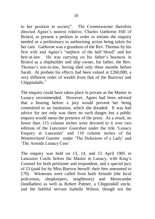to her position in society". The Commissioner therefore directed Agnes"s nearest relative, Charles Gathorne Hill of Bristol, to present a petition in order to initiate the enquiry needed as a preliminary to authorising action being taken for her care. Gathorne was a grandson of the Rev. Thomas by his first wife and Agnes"s "nephew of the half blood" and her heir-at-law. He was carrying on his father's business in Bristol as a shipbuilder and ship owner, his father, the Rev. Thomas's son-in-law, having died only three months before Sarah. At probate his effects had been valued at £260,000, a very different order of wealth from that of the Burrows and Chippindalls.<sup>5</sup>

The enquiry could have taken place in private as the Master in Lunacy recommended. However, Agnes had been advised that a hearing before a jury would prevent her being committed to an institution, which she dreaded. It was bad advice for not only was there no such danger but a public enquiry would mean the presence of the press. As a result, no fewer than 115 column inches were devoted to it over two editions of the *Lancaster Guardian* under the title "Lunacy Enquiry at Lancaster' and 110 column inches of the *Westmorland Gazette* under "The Delusions of a Lady" and 'The Arnside Lunacy Case'.

The enquiry was held on 13, 14, and 15 April 1905 in Lancaster Castle before the Master in Lunacy, with King"s Counsel for both petitioner and respondent, and a special jury of 23 (paid for by Miss Burrow herself: their fees amounted to £70). Witnesses were called from both Arnside (the local policeman, shopkeepers, neighbours) and Morecambe (landladies) as well as Robert Palmer, a Chippindall uncle, and the faithful servant Isabella Wilson, though not the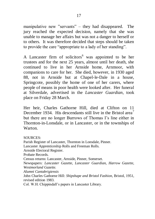manipulative new "servants" – they had disappeared. The jury reached the expected decision, namely that she was unable to manage her affairs but was not a danger to herself or to others. It was therefore decided that steps should be taken to provide the care "appropriate to a lady of her standing".

A Lancaster firm of solicitors<sup>6</sup> was appointed to be her trustees and for the next 25 years, almost until her death, she continued to live in her Arnside home, Arnmoor, with companions to care for her. She died, however, in 1930 aged 88, not in Arnside but at Chapel-le-Dale in a house, Springcote, possibly the home of one of her carers, where people of means in poor health were looked after. Her funeral at Silverdale, advertised in the *Lancaster Guardian*, took place on Friday 28 March.

Her heir, Charles Gathorne Hill, died at Clifton on 11 December 1934. His descendants still live in the Bristol area<sup>7</sup> but there are no longer Burrows of Thomas I"s line either in Thornton-in-Lonsdale, or in Lancaster, or in the townships of Warton.

SOURCES<sup>.</sup>

Parish Register of Lancaster, Thornton in Lonsdale, Pinner. Lancaster Apprenticeship Rolls and Freeman Rolls. Arnside Electoral Register. Probate Records. Census returns: Lancaster, Arnside, Pinner, Somerset. Newspapers: *Lancaster Gazette, Lancaster Guardian, Harrow Gazette, Westmorland Gazette. Alumni Cantabrigiensis* John Charles Gathorne Hill: *Shipshape and Bristol Fashion*, Bristol, 1951, revised edition 1983. Col. W.H. Chippindall"s papers in Lancaster Library.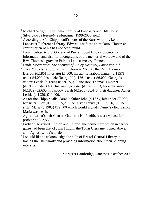<sup>3</sup> I am indebted to J.S. Golland of Pinner Local History Society for information and also for photographs of the memorial window and of the Rev. Thomas"s grave in Paine"s Lane cemetery, Pinner.

<sup>4</sup> Linda Moorhouse: *The opening of Ripley Hospital, Lancaster*, n.d.

 $<sup>5</sup>$  Their "effects" at probate were closer to £6,000: the Rev. Thomas</sup> Burrow (d.1861 intestate) £5,000; his aunt Elizabeth Inman (d.1857) under £4,000; his uncle George II (d.1861) under £6,000; George's widow Letitia (d.1864) under £5,000; the Rev. Thomas's mother  $(d.1860)$  under £450; his younger sister  $(d.1883)$  £53; his elder sister (d.1889) £2,600; his widow Sarah (d.1900) £8,445; their daughter Agnes Letitia (d.1930) £10,000.

As for the Chippindalls, Sarah's father John (d.1873) left under £7,000; her sister Lucy (d.1881) £5,200; her sister Fanny (d.1902) £6,700; her sister Maria (d.1903) £12,500 which would include Fanny's effects since Maria was her heir.

Agnes Letitia"s heir Charles Gathorne Hill"s effects were valued for probate at £52,580.

- <sup>6</sup> Probably Maxsted, Gibson and Sturton, the partnership which in earlier guise had been that of John Higgin, the Town Clerk mentioned above, and Agnes Letitia"s uncle.
- $7$  I should like to acknowledge the help of Bristol Central Library in tracing the Hill family and providing information about their shipping interests.

Margaret Bainbridge, Lancaster, October 2000

 $\overline{a}$ <sup>1</sup> Michael Wright: "The Inman family of Lancaster and Hill House, Silverdale", *Mourholme Magazine*, 1999-2000, no.2.

<sup>2</sup> According to Col Chippindall"s notes of the Burrow family kept in Lancaster Reference Library, Edward"s wife was a mulatto. However, confirmation of his has not been found.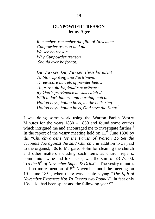#### **GUNPOWDER TREASON Jenny Ager**

*Remember, remember the fifth of November Gunpowder treason and plot We see no reason Why Gunpowder treason Should ever be forgot.*

*Guy Fawkes, Guy Fawkes, t"was his intent To blow up King and Parli"ment. Three-score barrels of powder below To prove old England"s overthrow; By God"s providence he was catch"d With a dark lantern and burning match. Holloa boys, holloa boys, let the bells ring. Holloa boys, holloa boys, God save the King!<sup>1</sup>*

I was doing some work using the Warton Parish Vestry Minutes for the years 1830 – 1850 and found some entries which intrigued me and encouraged me to investigate further. $2$ In the report of the vestry meeting held on  $11<sup>th</sup>$  June 1830 by the "*Churchwardens for the Parish of Warton To Set the accounts due against the said Church*", in addition to 5s paid to the organist, 10s to Margaret Holm for cleaning the church and other matters including such items as church repairs, communion wine and fox heads, was the sum of £3 7s. 0d. "*To the 5th of November Super & Drink*". The vestry minutes had no more mention of  $5<sup>th</sup>$  November until the meeting on 19th June 1834, when there was a note saying "*The fifth of November Expences Not To Exceed two Pounds*", in fact only 13s. 11d. had been spent and the following year £2.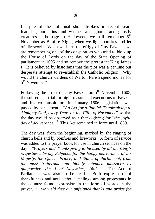In spite of the autumnal shop displays in recent years featuring pumpkins and witches and ghouls and ghostly creatures in homage to Halloween, we still remember  $5<sup>th</sup>$ November as Bonfire Night, when we light bonfires and let off fireworks. When we burn the effigy of Guy Fawkes, we are remembering one of the conspirators who tried to blow up the House of Lords on the day of the State Opening of parliament in 1605 and so remove the protestant King James I. It is believed by historians that the plot was a genuine but desperate attempt to re-establish the Catholic religion. Why would the church wardens of Warton Parish spend money for 5<sup>th</sup> November?

Following the arrest of Guy Fawkes on  $5<sup>th</sup>$  November 1605, the subsequent trial for high treason and executions of Fawkes and his co-conspirators in January 1606, legislation was passed by parliament – "*An Act for a Publick Thanksgiving to Almighty God, every Year, on the Fifth of November*" so that the day would be observed as a thanksgiving for "*the joyful day of deliverance*".<sup>3</sup> This Act remained in force until 1859.

The day was, from the beginning, marked by the ringing of church bells and by bonfires and fireworks. A form of service was added to the prayer book for use in church services on the day – "P*rayers and Thanksgiving to be used by all the King"s Majesties"s loving Subjects, for the happy deliverance of his Majesty, the Queen, Prince, and States of Parliament, from the most traiterous and bloody intended massacre by gunpowder, the 5 of November, 1605."* The Act of Parliament was also to be read. Both expressions of thankfulness and anti catholic feelings among protestants in the country found expression in the form of words in the prayer, "…*we yield thee our unfeigned thanks and praise for*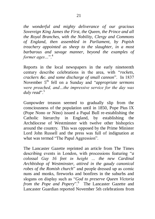*the wonderful and mighty deliverance of our gracious Sovereign King James the First, the Queen, the Prince and all the Royal Branches, with the Nobility, Clergy and Commons of England, then assembled in Parliament, by Popish treachery appointed as sheep to the slaughter, in a most barbarous and savage manner, beyond the examples of former ages*...".<sup>4</sup>

Reports in the local newspapers in the early nineteenth century describe celebrations in the area, with "*rockets, crackers &c. and some discharge of small cannon*". In 1837 November 5th fell on a Sunday and "*appropriate sermons were preached, and…the impressive service for the day was*  duly read".<sup>5</sup>

Gunpowder treason seemed to gradually slip from the consciousness of the population until in 1850, Pope Pius IX (Pope Nono or Nino) issued a Papal Bull re-establishing the Catholic hierarchy in England, by establishing the Archdiocese of Westminster with twelve other bishoprics around the country. This was opposed by the Prime Minister Lord John Russell and the press was full of indignation at what was termed "The Papal Aggression".

The Lancaster Gazette reprinted an article from The Times describing events in London, with processions featuring "*a colossal Guy 16 feet in height … the new Cardinal Archbishop of Westminster, attired in the gaudy canonical robes of the Romish church*" and people dressed up as comic nuns and monks, fireworks and bonfires in the suburbs and slogans on display such as "*God to preserve Queen Victoria*  from the Pope and Popery".<sup>6</sup> The Lancaster Gazette and Lancaster Guardian reported November 5th celebrations from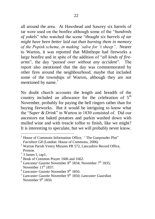all around the area. At Hawshead and Sawrey six barrels of tar were used on the bonfire although some of the "*hundreds of yokels*" who watched the scene "*thought six barrels of tar might have been better laid out than burning them in memory of the Popish scheme, in making "salve for "t sheep"*. Nearer to Warton, it was reported that Milnthope had fireworks a large bonfire and in spite of the addition of "*all kinds of firearms*", the day "*passed over without any accident*". The report also mentioned that the day was commemorated by other fires around the neighbourhood, maybe that included some of the townships of Warton, although they are not mentioned by name.<sup>7</sup>

No doubt church accounts the length and breadth of the country included an allowance for the celebration of  $5<sup>th</sup>$ November, probably for paying the bell ringers rather than for buying fireworks. But it would be intriguing to know what the "*Super & Drink*" in Warton in 1830 consisted of. Did our ancestors eat baked potatoes and parkin washed down with mulled wine and with treacle toffee to finish, like we might? It is interesting to speculate, but we will probably never know.

 $\overline{a}$ <sup>1</sup> House of Commons Information Office, "The Gunpowder Plot" *Factsheet G8* (London: House of Commons, 2006)

<sup>2</sup> Warton Parish Vestry Minutes PR 572, Lancashire Record Office, Preston.

 $3$  3 James I, cap1.

<sup>4</sup> Book of Common Prayer 1606 and 1662.

<sup>&</sup>lt;sup>5</sup> Lancaster Gazette November 8<sup>th</sup> 1834; November 7<sup>th</sup> 1835; November  $11<sup>th</sup> 1837$ .

<sup>&</sup>lt;sup>6</sup> Lancaster Gazette November 9<sup>th</sup> 1850.

<sup>&</sup>lt;sup>7</sup> Lancaster Gazette November 9<sup>th</sup> 1850; Lancaster Guardian November  $9<sup>th</sup>$  1850.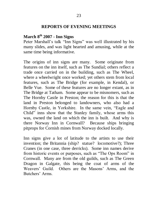### **REPORTS OF EVENING MEETINGS**

# **March 8th 2007 - Inn Signs**

Peter Marshall"s talk "Inn Signs" was well illustrated by his many slides, and was light hearted and amusing, while at the same time being informative.

The origins of inn signs are many. Some originate from features on the inn itself, such as The Sundial; others reflect a trade once carried on in the building, such as The Wheel, where a wheelwright once worked; yet others stem from local features, such as The Bridge (for example, in Kendal), or Belle Vue. Some of these features are no longer extant, as in The Bridge at Tatham. Some appear to be misnomers, such as The Hornby Castle in Preston; the reason for this is that the land in Preston belonged to landowners, who also had a Hornby Castle, in Yorkshire. In the same vein, "Eagle and Child" inns show that the Stanley family, whose arms this was, owned the land on which the inn is built. And why is there Norway Inn in Cornwall? Because ships bringing pitprops for Cornish mines from Norway docked locally.

Inn signs give a lot of latitude to the artists to use their invention; the Britannia (ship? statue? locomotive?); Three Cranes (in one case, three derricks). Some inn names derive from historic events or purposes, such as "The Ops Room" in Cornwall. Many are from the old guilds, such as The Green Dragon in Galgate, this being the coat of arms of the Weavers" Guild. Others are the Masons" Arms, and the Butchers" Arms.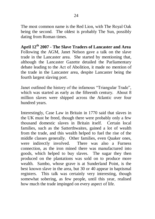The most common name is the Red Lion, with The Royal Oak being the second. The oldest is probably The Sun, possibly dating from Roman times.

**April 12th 2007 - The Slave Traders of Lancaster and Area** Following the AGM, Janet Nelson gave a talk on the slave trade in the Lancaster area. She started by mentioning that, although the Lancaster Gazette detailed the Parliamentary debate leading to the Act of Abolition, it made no mention of the trade in the Lancaster area, despite Lancaster being the fourth largest slaving port.

Janet outlined the history of the infamous "Triangular Trade", which was started as early as the fifteenth century. About 8 million slaves were shipped across the Atlantic over four hundred years.

Interestingly, Case Law in Britain in 1770 said that slaves in the UK must be freed, though there were probably only a few thousand domestic slaves in Britain itself. Certain local families, such as the Satterthwaites, gained a lot of wealth from the trade, and this wealth helped to fuel the rise of the middle classes generally. Other families, even Quaker ones, were indirectly involved. There was also a Furness connection, as the iron mined there was manufactured into goods, which helped to buy slaves. The sugar they then produced on the plantations was sold on to produce more wealth. Sambo, whose grave is at Sunderland Point, is the best known slave in the area, but 30 or 40 appear in baptismal registers. This talk was certainly very interesting, though somewhat sobering, as few people, until this year, realised how much the trade impinged on every aspect of life.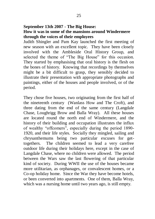#### **September 13th 2007 - The Big House: How it was in some of the mansions around Windermere through the voices of their employees**

Judith Shingler and Pam Kay launched the first meeting of new season with an excellent topic. They have been closely involved with the Ambleside Oral History Group, and selected the theme of "The Big House" for this occasion. They started by emphasising that oral history is the flesh on the bones of history. Knowing that recordings by themselves might be a bit difficult to grasp, they sensibly decided to illustrate their presentation with appropriate photographs and paintings, either of the houses and people involved, or of the period.

They chose five houses, two originating from the first half of the nineteenth century (Wanlass How and The Croft), and three dating from the end of the same century (Langdale Chase, Loughrigg Brow and Balla Wray). All these houses are located round the north end of Windermere, and the history of their building and occupation illustrates the influx of wealthy "offcomers", especially during the period 1890- 1920, and their life styles. Socially they mingled, sailing and chrysanthemums being two particular excuses for gettogethers. The children seemed to lead a very carefree outdoor life during their holidays here, except in the case of Langdale Chase, where no children were allowed. The period between the Wars saw the last flowering of that particular kind of society. During WWII the use of the houses became more utilitarian, as orphanages, or convalescent homes, or a Co-op holiday home. Since the War they have become hotels, or been converted into apartments. One of them, Balla Wray, which was a nursing home until two years ago, is still empty.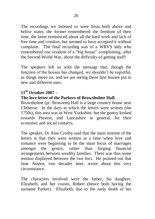The recordings we listened to were from both above and below stairs; the former remembered the freedom of their time, the latter reminisced about all the hard work and lack of free time and comfort, but seemed to have accepted it without complaint. The final recording was of a WRVS lady who remembered one resident of a "big house" complaining, after the Second World War, about the difficulty of getting staff!

The speakers left us with the message that, though the function of the houses has changed, we shouldn't be regretful, as things move on, and we are seeing these fine houses put to new and different uses.

## **11th October 2007 –**

## **The love letter of the Parkers of Browsholme Hall.**

Browsholme (pr. Broozem) Hall is a large country house near Clitheroe. In the days in which the letters were written (the 1750s), this area was in West Yorkshire, but the gentry looked towards Preston, and Lancashire in general, for their economic and social contacts.

The speaker, Dr Alan Crosby said that the main interest of the letters is that they were written at a time when love and romance were beginning to be the main focus of marriages amongst the gentry, rather than forging financial arrangements between wealthy families. There was thus some tension displayed between the two foci. He pointed out that Jane Austen, two decades later, wrote about this very circumstance.

The characters involved were the father, his daughter, Elizabeth, and her cousin, Robert (hence both having the surname Parker). Elizabeth, due to the early death of her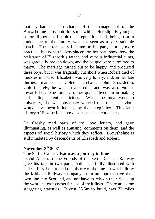mother, had been in charge of the management of the Browsholme household for some while. Her slightly younger suitor, Robert, had a bit of a reputation, and, being from a junior line of the family, was not seen as a very suitable match. The letters, very fulsome on his part, shorter, more practical, but none-the-less sincere on her part, show how the resistance of Elizabeth"s father, and various influential aunts, was gradually broken down, and the couple were permitted to marry. The marriage turned out to be happy, and produced three boys, but it was tragically cut short when Robert died of measles in 1759. Elizabeth was very lonely, and, in her late thirties, married a Colne merchant, John Shackleton. Unfortunately, he was an alcoholic, and was also violent towards her. She found a rather quaint diversion in making and selling patent medicines. When the boys went to university, she was obviously worried that their behaviour would have been influenced by their stepfather. This later history of Elizabeth is known because she kept a diary.

Dr Crosby read parts of the love letters, and gave illuminating, as well as amusing, comments on them, and the aspects of social history which they reflect. Browsholme is still inhabited by descendents of Elizabeth and Robert.

## **November 8th 2007 –**

## **The Settle-Carlisle Railway:a journey in time**

David Alison, of the Friends of the Settle–Carlisle Railway gave his talk in two parts, both beautifully illustrated with slides. First he outlined the history of the line. It was built by the Midland Railway Company in an attempt to have their own line into Scotland, and not have to rely on their rivals up the west and east coasts for use of their lines. There are some staggering statistics. It cost £3.5m to build, was 72 miles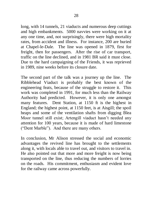long, with 14 tunnels, 21 viaducts and numerous deep cuttings and high embankments. 5000 navvies were working on it at any one time, and, not surprisingly, there were high mortality rates, from accident and illness. For instance, 200 are buried at Chapel-le-Dale. The line was opened in 1879, first for freight, then for passengers. After the rise of car transport, traffic on the line declined, and in 1981 BR said it must close. Due to the hard campaigning of the Friends, it was reprieved in 1989, nine weeks before its closure date.

The second part of the talk was a journey up the line. The Ribblehead Viaduct is probably the best known of the engineering feats, because of the struggle to restore it. This work was completed in 1991, for much less than the Railway Authority had predicted. However, it is only one amongst many features. Dent Station, at 1150 ft is the highest in England; the highest point, at 1150 feet, is at Aisgill; the spoil heaps and some of the ventilation shafts from digging Blea Moor tunnel still exist; Artengill viaduct hasn't needed any attention for 100 years, because it is made of hard limestone ("Dent Marble"). And there are many others.

In conclusion, Mr Alison stressed the social and economic advantages the revived line has brought to the settlements along it, with locals able to travel out, and visitors to travel in. He also pointed out that more and more freight is now being transported on the line, thus reducing the numbers of lorries on the roads. His commitment, enthusiasm and evident love for the railway came across powerfully.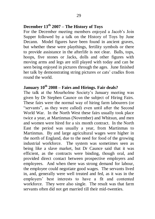# **December 13th 2007 – The History of Toys**

For the December meeting members enjoyed a Jacob's Join Supper followed by a talk on the History of Toys by June Decann. Model figures have been found in ancient graves, but whether these were playthings, fertility symbols or there to provide assistance in the afterlife is not clear. Balls, tops, hoops, five stones or Jacks, dolls and other figures with moving arms and legs are still played with today and can be seen being enjoyed in pictures through the ages. June finished her talk by demonstrating string pictures or cats' cradles from round the world.

## **January 10th 2008 – Fairs and Hirings. Fair deals?**

The talk at the Mourholme Society"s January meeting was given by Dr Stephen Caunce on the subject of Hiring Fairs. These fairs were the normal way of hiring farm labourers (or "servants", as they were called) even until after the Second World War. In the North West these fairs usually took place twice a year, at Martinmas (November) and Whitsun, and men and women were hired for a six month contract. In the North East the period was usually a year, from Martinmas to Martinmas. By and large agricultural wages were higher in the north of England, due to the need for food of the growing industrial workforce. The system was sometimes seen as being like a slave market, but Dr Caunce said that it was efficient, as the contracts were binding, though oral, and provided direct contact between prospective employers and employees. And when there was strong demand for labour, the employee could negotiate good wages. The servants lived in, and, generally were well treated and fed, as it was in the employers" best interests to have a fit and contented workforce. They were also single. The result was that farm servants often did not get married till their mid-twenties.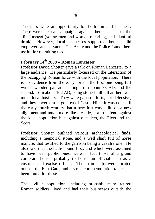The fairs were an opportunity for both fun and business. There were clerical campaigns against them because of the "fun" aspect (young men and women mingling, and plentiful drink). However, local businesses supported them, as did employers and servants. The Army and the Police found them useful for recruiting too.

# **February 14th 2008 – Roman Lancaster**

Professor David Shotter gave a talk on Roman Lancaster to a large audience. He particularly focussed on the interaction of the occupying Roman force with the local population. There is no evidence from the early forts – the first one being turf with a wooden palisade, dating from about 73 AD, and the second, from about 102 AD, being stone-built – that there was much local hostility. They were garrison forts, not defensive, and they covered a large area of Castle Hill. It was not until the early fourth century that a new fort was built, on a new alignment and much more like a castle, not to defend against the local population but against outsiders, the Picts and the Scots.

Professor Shotter outlined various archaeological finds, including a memorial stone, and a well shaft full of horse manure, that testified to the garrison being a cavalry one. He also said that the baths found first, and which were assumed to have been public ones, were in fact those of a grand courtyard house, probably to house an official such as a customs and excise officer. The main baths were located outside the East Gate, and a stone commemoration tablet has been found for these.

The civilian population, including probably many retired Roman soldiers, lived and had their businesses outside the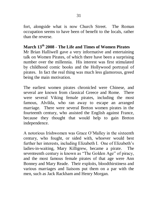fort, alongside what is now Church Street. The Roman occupation seems to have been of benefit to the locals, rather than the reverse.

## **March 13th 2008 - The Life and Times of Women Pirates**

Mr Brian Halliwell gave a very informative and entertaining talk on Women Pirates, of which there have been a surprising number over the millennia. His interest was first stimulated by childhood comic books and the Hollywood portrayal of pirates. In fact the real thing was much less glamorous, greed being the main motivation.

The earliest women pirates chronicled were Chinese, and several are known from classical Greece and Rome. There were several Viking female pirates, including the most famous, Alvilda, who ran away to escape an arranged marriage. There were several Breton women pirates in the fourteenth century, who assisted the English against France, because they thought that would help to gain Breton independence.

A notorious Irishwomen was Grace O"Malley in the sixteenth century, who fought, or sided with, whoever would best further her interests, including Elizabeth I. One of Elizabeth"s ladies-in-waiting, Mary Killigrew, became a pirate. The seventeenth century is known as "The Golden Age" of piracy, and the most famous female pirates of that age were Ann Bonney and Mary Reade. Their exploits, bloodthirstiness and various marriages and liaisons put them on a par with the men, such as Jack Rackham and Henry Morgan.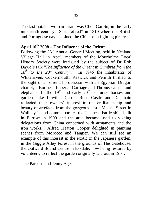The last notable woman pirate was Chen Gai Su, in the early nineteenth century. She "retired" in 1810 when the British and Portuguese navies joined the Chinese in fighting piracy.

# **April 10th 2008 – The Influence of the Orient**

Following the 28<sup>th</sup> Annual General Meeting, held in Yealand Village Hall in April, members of the Mourholme Local History Society were intrigued by the subject of Dr Rob David"s talk "*The Influence of the Orient in Cumbria from the 18th to the 20th Century*". In 1846 the inhabitants of Whitehaven, Cockermouth, Keswick and Penrith thrilled to the sight of an oriental procession with an Egyptian Dragon chariot, a Burmese Imperial Carriage and Throne, camels and elephants. In the  $19<sup>th</sup>$  and early  $20<sup>th</sup>$  centuries houses and gardens like Lowther Castle, Rose Castle and Dalemain reflected their owners" interest in the craftsmanship and beauty of artefacts from the gorgeous east. Mikasa Street in Wallney Island commemorates the Japanese battle ship, built in Barrow in 1900 and the area became used to visiting delegations from China concerned with armaments and the iron works. Alfred Heaton Cooper delighted in painting scenes from Morocco and Tangier. We can still see an example of this interest in the exotic in the Japanese garden, in the Giggle Alley Forest in the grounds of The Gatehouse, the Outward Bound Centre in Eskdale, now being restored by volunteers, to reflect the garden originally laid out in 1901.

Jane Parsons and Jenny Ager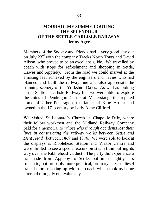## **MOURHOLME SUMMER OUTING THE SPLENDOUR OF THE SETTLE-CARLISLE RAILWAY Jenny Ager**

Members of the Society and friends had a very good day out on July 23rd with the company Tracks North Tours and David Alison, who proved to be an excellent guide. We travelled by coach with stops for refreshment and shopping in Settle, Hawes and Appleby. From the road we could marvel at the amazing feat achieved by the engineers and navies who had planned and built the railway line and also appreciate the stunning scenery of the Yorkshire Dales. As well as looking at the Settle – Carlisle Railway line we were able to explore the ruins of Pendragon Castle at Mallerstang, the reputed home of Uther Pendragon, the father of King Arthur and owned in the  $17<sup>th</sup>$  century by Lady Anne Clifford.

We visited St Leonard"s Church in Chapel-le-Dale, where their fellow workmen and the Midland Railway Company paid for a memorial to "*those who through accidents lost their lives in constructing the railway works between Settle and Dent Head*" between 1869 and 1876. We were able to look at the displays at Ribblehead Station and Visitor Centre and were thrilled to see a special excursion steam train puffing its way over the Ribblehead viaduct. The party did experience a train ride from Appleby to Settle, but in a slightly less romantic, but probably more practical, ordinary service diesel train, before meeting up with the coach which took us home after a thoroughly enjoyable day.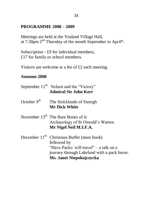## **PROGRAMME 2008 – 2009**

Meetings are held at the Yealand Village Hall, at 7.30pm 2<sup>nd</sup> Thursday of the month September to April\*.

Subscription - £9 for individual members, £17 for family or school members.

Visitors are welcome at a fee of £2 each meeting.

## **Autumn 2008**

|               | September $11th$ Nelson and the "Victory"<br><b>Admiral Sir John Kerr</b>                                                                                                         |
|---------------|-----------------------------------------------------------------------------------------------------------------------------------------------------------------------------------|
| October $9th$ | The Stricklands of Sizergh<br><b>Mr Dick White</b>                                                                                                                                |
|               | November $13th$ The Bare Bones of it:<br>Archaeology of St Oswald's Warton<br>Mr Nigel Neil M.I.F.A.                                                                              |
|               | December $11th$ Christmas Buffet (must book)<br>followed by<br>"Have Packs: will travel" – a talk on a<br>journey through Lakeland with a pack horse.<br>Ms. Janet Niepokojczycka |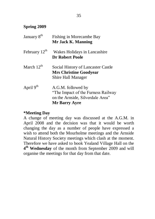## **Spring 2009**

| January 8 <sup>th</sup>   | Fishing in Morecambe Bay<br>Mr Jack K. Manning                                                                        |
|---------------------------|-----------------------------------------------------------------------------------------------------------------------|
| February $12^{\text{th}}$ | Wakes Holidays in Lancashire<br><b>Dr Robert Poole</b>                                                                |
| March $12^{\text{th}}$    | Social History of Lancaster Castle<br><b>Mrs Christine Goodyear</b><br>Shire Hall Manager                             |
| April 9 <sup>th</sup>     | A.G.M. followed by<br>"The Impact of the Furness Railway"<br>on the Arnside, Silverdale Area"<br><b>Mr Barry Ayre</b> |

## **\*Meeting Day**

A change of meeting day was discussed at the A.G.M. in April 2008 and the decision was that it would be worth changing the day as a number of people have expressed a wish to attend both the Mourholme meetings and the Arnside Natural History Society meetings which clash at the moment. Therefore we have asked to book Yealand Village Hall on the **4 th Wednesday** of the month from September 2009 and will organise the meetings for that day from that date.